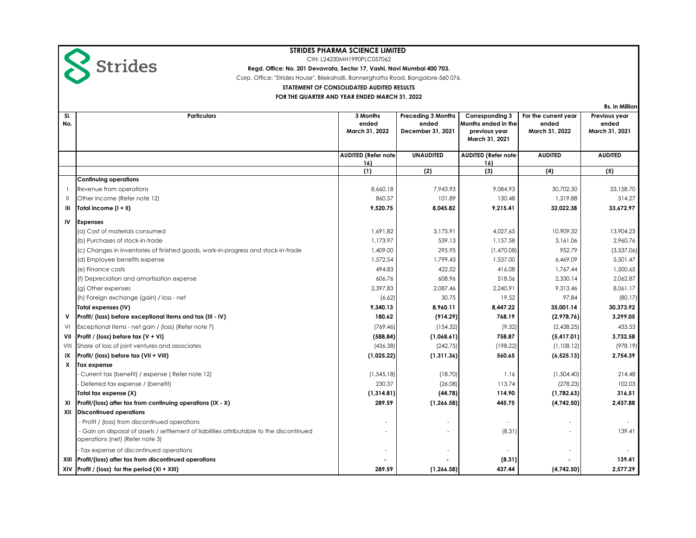

CIN: L24230MH1990PLC057062

**Regd. Office: No. 201 Devavrata, Sector 17, Vashi, Navi Mumbai 400 703.**

Corp. Office: "Strides House", Bilekahalli, Bannerghatta Road, Bangalore-560 076.

**STATEMENT OF CONSOLIDATED AUDITED RESULTS**

**FOR THE QUARTER AND YEAR ENDED MARCH 31, 2022**

**Rs. in Million**

| SI.<br>No. | <b>Particulars</b>                                                                                                           | 3 Months<br>ended<br>March 31, 2022 | <b>Preceding 3 Months</b><br>ended<br>December 31, 2021 | Corresponding 3<br>Months ended in the<br>previous year<br>March 31, 2021 | For the current year<br>ended<br>March 31, 2022 | Previous year<br>ended<br>March 31, 2021 |
|------------|------------------------------------------------------------------------------------------------------------------------------|-------------------------------------|---------------------------------------------------------|---------------------------------------------------------------------------|-------------------------------------------------|------------------------------------------|
|            |                                                                                                                              | <b>AUDITED (Refer note</b>          | <b>UNAUDITED</b>                                        | <b>AUDITED (Refer note</b>                                                | <b>AUDITED</b>                                  | <b>AUDITED</b>                           |
|            |                                                                                                                              | 16)                                 |                                                         | 16)                                                                       |                                                 |                                          |
|            |                                                                                                                              | (1)                                 | (2)                                                     | (3)                                                                       | (4)                                             | (5)                                      |
|            | <b>Continuing operations</b><br>Revenue from operations                                                                      | 8,660.18                            | 7,943.93                                                | 9,084.93                                                                  | 30,702.50                                       | 33,158.70                                |
|            | Other income (Refer note 12)                                                                                                 | 860.57                              | 101.89                                                  | 130.48                                                                    | 1,319.88                                        | 514.27                                   |
|            | Total income (I + II)                                                                                                        | 9,520.75                            | 8,045.82                                                | 9,215.41                                                                  | 32,022.38                                       | 33,672.97                                |
|            |                                                                                                                              |                                     |                                                         |                                                                           |                                                 |                                          |
| IV         | <b>Expenses</b>                                                                                                              |                                     |                                                         |                                                                           |                                                 |                                          |
|            | (a) Cost of materials consumed                                                                                               | 1,691.82                            | 3,175.91                                                | 4,027.65                                                                  | 10,909.32                                       | 13,904.23                                |
|            | (b) Purchases of stock-in-trade                                                                                              | 1,173.97                            | 539.13                                                  | 1,157.58                                                                  | 3,161.06                                        | 2,960.76                                 |
|            | (c) Changes in inventories of finished goods, work-in-progress and stock-in-trade                                            | 1,409.00                            | 295.95                                                  | (1,470.08)                                                                | 952.79                                          | (3,537.06)                               |
|            | (d) Employee benefits expense                                                                                                | 1,572.54                            | 1,799.43                                                | 1,537.00                                                                  | 6,469.09                                        | 5,501.47                                 |
|            | (e) Finance costs                                                                                                            | 494.83                              | 422.52                                                  | 416.08                                                                    | 1,767.44                                        | 1,500.65                                 |
|            | (f) Depreciation and amortisation expense                                                                                    | 606.76                              | 608.96                                                  | 518.56                                                                    | 2,330.14                                        | 2,062.87                                 |
|            | (g) Other expenses                                                                                                           | 2,397.83                            | 2,087.46                                                | 2,240.91                                                                  | 9,313.46                                        | 8,061.17                                 |
|            | (h) Foreign exchange (gain) / loss - net                                                                                     | (6.62)                              | 30.75                                                   | 19.52                                                                     | 97.84                                           | (80.17)                                  |
|            | Total expenses (IV)                                                                                                          | 9,340.13                            | 8,960.11                                                | 8,447.22                                                                  | 35,001.14                                       | 30,373.92                                |
| v          | Profit/ (loss) before exceptional items and tax (III - IV)                                                                   | 180.62                              | (914.29)                                                | 768.19                                                                    | (2,978.76)                                      | 3,299.05                                 |
| VI         | Exceptional items - net gain / (loss) (Refer note 7)                                                                         | (769.46)                            | (154.32)                                                | (9.32)                                                                    | (2,438.25)                                      | 433.53                                   |
| VII        | Profit / (loss) before tax (V + VI)                                                                                          | (588.84)                            | (1,068.61)                                              | 758.87                                                                    | (5,417.01)                                      | 3,732.58                                 |
| VIII       | Share of loss of joint ventures and associates                                                                               | (436.38)                            | (242.75)                                                | (198.22)                                                                  | (1, 108.12)                                     | (978.19)                                 |
| IX         | Profit/ (loss) before tax (VII + VIII)                                                                                       | (1,025.22)                          | (1, 311.36)                                             | 560.65                                                                    | (6, 525.13)                                     | 2,754.39                                 |
| X          | Tax expense                                                                                                                  |                                     |                                                         |                                                                           |                                                 |                                          |
|            | Current tax (benefit) / expense (Refer note 12)                                                                              | (1, 545.18)                         | (18.70)                                                 | 1.16                                                                      | (1,504.40)                                      | 214.48                                   |
|            | Deferred tax expense / (benefit)                                                                                             | 230.37                              | (26.08)                                                 | 113.74                                                                    | (278.23)                                        | 102.03                                   |
|            | Total tax expense (X)                                                                                                        | (1,314.81)                          | (44.78)                                                 | 114.90                                                                    | (1,782.63)                                      | 316.51                                   |
| ΧI         | Profit/(loss) after tax from continuing operations (IX - X)                                                                  | 289.59                              | (1, 266.58)                                             | 445.75                                                                    | (4,742.50)                                      | 2,437.88                                 |
| XII        | <b>Discontinued operations</b>                                                                                               |                                     |                                                         |                                                                           |                                                 |                                          |
|            | - Profit / (loss) from discontinued operations                                                                               |                                     |                                                         |                                                                           |                                                 |                                          |
|            | - Gain on disposal of assets / settlement of liabilities attributable to the discontinued<br>operations (net) (Refer note 3) | $\overline{a}$                      |                                                         | (8.31)                                                                    |                                                 | 139.41                                   |
|            | Tax expense of discontinued operations                                                                                       |                                     |                                                         |                                                                           |                                                 |                                          |
| XIII       | Profit/(loss) after tax from discontinued operations                                                                         |                                     |                                                         | (8.31)                                                                    |                                                 | 139.41                                   |
| XIV        | Profit / (loss) for the period $(XI + XIII)$                                                                                 | 289.59                              | (1, 266.58)                                             | 437.44                                                                    | (4,742.50)                                      | 2,577.29                                 |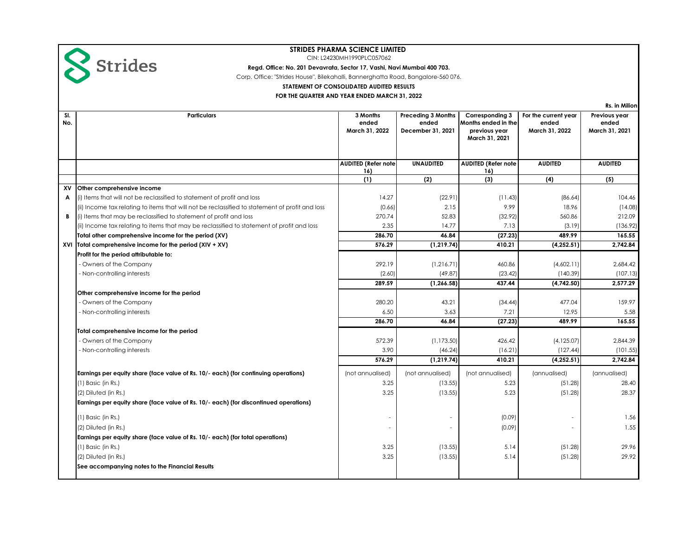

CIN: L24230MH1990PLC057062

**Regd. Office: No. 201 Devavrata, Sector 17, Vashi, Navi Mumbai 400 703.**

Corp. Office: "Strides House", Bilekahalli, Bannerghatta Road, Bangalore-560 076.

**STATEMENT OF CONSOLIDATED AUDITED RESULTS**

**FOR THE QUARTER AND YEAR ENDED MARCH 31, 2022**

**Rs. in Milion**

| SI.<br>No. | <b>Particulars</b>                                                                              | 3 Months<br>ended<br>March 31, 2022 | <b>Preceding 3 Months</b><br>ended<br>December 31, 2021 | Corresponding 3<br>Months ended in the<br>previous year<br>March 31, 2021 | For the current year<br>ended<br>March 31, 2022 | Previous year<br>ended<br>March 31, 2021 |
|------------|-------------------------------------------------------------------------------------------------|-------------------------------------|---------------------------------------------------------|---------------------------------------------------------------------------|-------------------------------------------------|------------------------------------------|
|            |                                                                                                 | <b>AUDITED (Refer note</b><br>16)   | <b>UNAUDITED</b>                                        | <b>AUDITED (Refer note</b><br>16)                                         | <b>AUDITED</b>                                  | <b>AUDITED</b>                           |
|            |                                                                                                 | (1)                                 | (2)                                                     | (3)                                                                       | (4)                                             | (5)                                      |
| XV         | Other comprehensive income                                                                      |                                     |                                                         |                                                                           |                                                 |                                          |
| A          | (i) Items that will not be reclassified to statement of profit and loss                         | 14.27                               | (22.91)                                                 | (11.43)                                                                   | (86.64)                                         | 104.46                                   |
|            | (ii) Income tax relating to items that will not be reclassified to statement of profit and loss | (0.66)                              | 2.15                                                    | 9.99                                                                      | 18.96                                           | (14.08)                                  |
| В          | (i) Items that may be reclassified to statement of profit and loss                              | 270.74                              | 52.83                                                   | (32.92)                                                                   | 560.86                                          | 212.09                                   |
|            | (ii) Income tax relating to items that may be reclassified to statement of profit and loss      | 2.35                                | 14.77                                                   | 7.13                                                                      | (3.19)                                          | (136.92)                                 |
|            | Total other comprehensive income for the period (XV)                                            | 286.70                              | 46.84                                                   | (27.23)                                                                   | 489.99                                          | 165.55                                   |
|            | XVI   Total comprehensive income for the period $(XIV + XV)$                                    | 576.29                              | (1, 219.74)                                             | 410.21                                                                    | (4, 252.51)                                     | 2,742.84                                 |
|            | Profit for the period attributable to:                                                          |                                     |                                                         |                                                                           |                                                 |                                          |
|            | - Owners of the Company                                                                         | 292.19                              | (1,216.71)                                              | 460.86                                                                    | (4,602.11)                                      | 2,684.42                                 |
|            | - Non-controlling interests                                                                     | (2.60)                              | (49.87)                                                 | (23.42)                                                                   | (140.39)                                        | (107.13)                                 |
|            |                                                                                                 | 289.59                              | (1, 266.58)                                             | 437.44                                                                    | (4,742.50)                                      | 2,577.29                                 |
|            | Other comprehensive income for the period                                                       |                                     |                                                         |                                                                           |                                                 |                                          |
|            | - Owners of the Company                                                                         | 280.20                              | 43.21                                                   | (34.44)                                                                   | 477.04                                          | 159.97                                   |
|            | - Non-controlling interests                                                                     | 6.50                                | 3.63                                                    | 7.21                                                                      | 12.95                                           | 5.58                                     |
|            |                                                                                                 | 286.70                              | 46.84                                                   | (27.23)                                                                   | 489.99                                          | 165.55                                   |
|            | Total comprehensive income for the period                                                       |                                     |                                                         |                                                                           |                                                 |                                          |
|            | - Owners of the Company                                                                         | 572.39                              | (1, 173.50)                                             | 426.42                                                                    | (4, 125.07)                                     | 2,844.39                                 |
|            | - Non-controlling interests                                                                     | 3.90                                | (46.24)                                                 | (16.21)                                                                   | (127.44)                                        | (101.55)                                 |
|            |                                                                                                 | 576.29                              | (1, 219.74)                                             | 410.21                                                                    | (4,252.51)                                      | 2.742.84                                 |
|            | Earnings per equity share (face value of Rs. 10/- each) (for continuing operations)             | (not annualised)                    | (not annualised)                                        | (not annualised)                                                          | (annualised)                                    | (annualised)                             |
|            | (1) Basic (in Rs.)                                                                              | 3.25                                | (13.55)                                                 | 5.23                                                                      | (51.28)                                         | 28.40                                    |
|            | (2) Diluted (in Rs.)                                                                            | 3.25                                | (13.55)                                                 | 5.23                                                                      | (51.28)                                         | 28.37                                    |
|            | Earnings per equity share (face value of Rs. 10/- each) (for discontinued operations)           |                                     |                                                         |                                                                           |                                                 |                                          |
|            |                                                                                                 |                                     |                                                         |                                                                           |                                                 | 1.56                                     |
|            | (1) Basic (in Rs.)<br>(2) Diluted (in Rs.)                                                      |                                     |                                                         | (0.09)<br>(0.09)                                                          |                                                 | 1.55                                     |
|            |                                                                                                 |                                     | $\overline{\phantom{a}}$                                |                                                                           |                                                 |                                          |
|            | Earnings per equity share (face value of Rs. 10/- each) (for total operations)                  |                                     |                                                         |                                                                           |                                                 |                                          |
|            | (1) Basic (in Rs.)                                                                              | 3.25                                | (13.55)                                                 | 5.14                                                                      | (51.28)                                         | 29.96                                    |
|            | (2) Diluted (in Rs.)                                                                            | 3.25                                | (13.55)                                                 | 5.14                                                                      | (51.28)                                         | 29.92                                    |
|            | See accompanying notes to the Financial Results                                                 |                                     |                                                         |                                                                           |                                                 |                                          |
|            |                                                                                                 |                                     |                                                         |                                                                           |                                                 |                                          |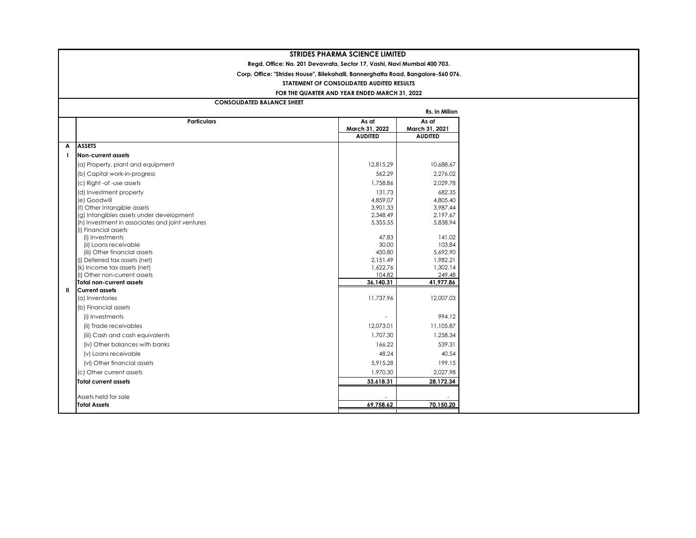## **Regd. Office: No. 201 Devavrata, Sector 17, Vashi, Navi Mumbai 400 703.**

**Corp. Office: "Strides House", Bilekahalli, Bannerghatta Road, Bangalore-560 076.**

#### **STATEMENT OF CONSOLIDATED AUDITED RESULTS**

## **FOR THE QUARTER AND YEAR ENDED MARCH 31, 2022**

## **CONSOLIDATED BALANCE SHEET**

|              |                                                 |                | Rs. in Milion  |
|--------------|-------------------------------------------------|----------------|----------------|
|              | <b>Particulars</b>                              | As at          | As at          |
|              |                                                 | March 31, 2022 | March 31, 2021 |
|              |                                                 | <b>AUDITED</b> | <b>AUDITED</b> |
| A            | <b>ASSETS</b>                                   |                |                |
| $\mathbf{I}$ | Non-current assets                              |                |                |
|              | (a) Property, plant and equipment               | 12.815.29      | 10.688.67      |
|              | (b) Capital work-in-progress                    | 562.29         | 2.276.02       |
|              | (c) Right-of-use assets                         | 1.758.86       | 2.029.78       |
|              | (d) Investment property                         | 131.73         | 682.35         |
|              | (e) Goodwill                                    | 4,859.07       | 4,805.40       |
|              | (f) Other Intangible assets                     | 3,901.33       | 3.987.44       |
|              | (g) Intangibles assets under development        | 2,348.49       | 2,197.67       |
|              | (h) Investment in associates and joint ventures | 5,355.55       | 5,838.94       |
|              | (i) Financial assets<br>(i) Investments         | 47.83          | 141.02         |
|              | (ii) Loans receivable                           | 30.00          | 103.84         |
|              | (iii) Other financial assets                    | 450.80         | 5,692.90       |
|              | (i) Deferred tax assets (net)                   | 2,151.49       | 1,982.21       |
|              | (k) Income tax assets (net)                     | 1,622.76       | 1,302.14       |
|              | (I) Other non-current assets                    | 104.82         | 249.48         |
|              | <b>Total non-current assets</b>                 | 36,140.31      | 41,977.86      |
| Ш.           | <b>Current assets</b>                           |                |                |
|              | (a) Inventories                                 | 11,737.96      | 12.007.03      |
|              | (b) Financial assets                            |                |                |
|              | (i) Investments                                 |                | 994.12         |
|              | (ii) Trade receivables                          | 12.073.01      | 11,105.87      |
|              | (iii) Cash and cash equivalents                 | 1,707.30       | 1,258.34       |
|              | (iv) Other balances with banks                  | 166.22         | 539.31         |
|              | (v) Loans receivable                            | 48.24          | 40.54          |
|              | (vi) Other financial assets                     | 5,915.28       | 199.15         |
|              | (c) Other current assets                        | 1,970.30       | 2,027.98       |
|              | <b>Total current assets</b>                     | 33,618.31      | 28,172.34      |
|              |                                                 |                |                |
|              | Assets held for sale                            |                |                |
|              | <b>Total Assets</b>                             | 69,758.62      | 70,150.20      |
|              |                                                 |                |                |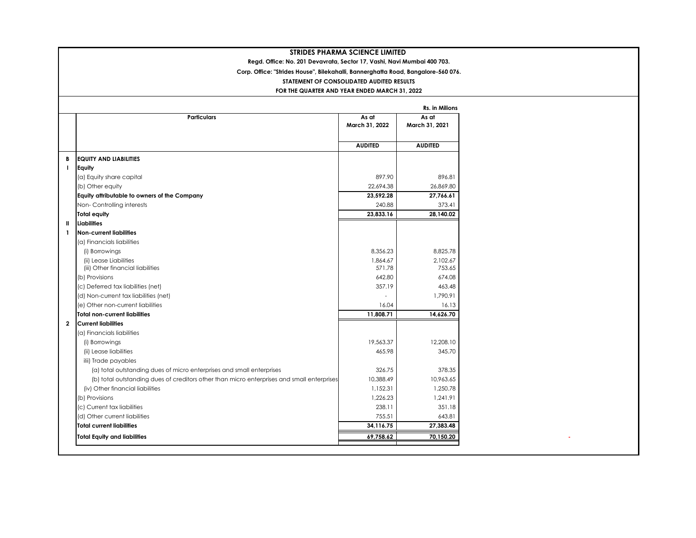**Regd. Office: No. 201 Devavrata, Sector 17, Vashi, Navi Mumbai 400 703.**

## **Corp. Office: "Strides House", Bilekahalli, Bannerghatta Road, Bangalore-560 076.**

**STATEMENT OF CONSOLIDATED AUDITED RESULTS**

**FOR THE QUARTER AND YEAR ENDED MARCH 31, 2022**

|                                                                                            |                | Rs. in Milions |
|--------------------------------------------------------------------------------------------|----------------|----------------|
| <b>Particulars</b>                                                                         | As at          | As at          |
|                                                                                            | March 31, 2022 | March 31, 2021 |
|                                                                                            |                |                |
|                                                                                            | <b>AUDITED</b> | <b>AUDITED</b> |
| <b>EQUITY AND LIABILITIES</b><br>В                                                         |                |                |
| $\mathbf{I}$<br>Equity                                                                     |                |                |
| (a) Equity share capital                                                                   | 897.90         | 896.81         |
| (b) Other equity                                                                           | 22,694.38      | 26,869.80      |
| Equity attributable to owners of the Company                                               | 23,592.28      | 27,766.61      |
| Non-Controlling interests                                                                  | 240.88         | 373.41         |
| <b>Total equity</b>                                                                        | 23,833.16      | 28,140.02      |
| <b>Liabilities</b><br>ш                                                                    |                |                |
| <b>Non-current liabilities</b><br>$\mathbf{1}$                                             |                |                |
| (a) Financials liabilities                                                                 |                |                |
| (i) Borrowings                                                                             | 8,356.23       | 8,825.78       |
| (ii) Lease Liabilities                                                                     | 1,864.67       | 2,102.67       |
| (iii) Other financial liabilities                                                          | 571.78         | 753.65         |
| (b) Provisions                                                                             | 642.80         | 674.08         |
| (c) Deferred tax liabilities (net)                                                         | 357.19         | 463.48         |
| (d) Non-current tax liabilities (net)                                                      |                | 1,790.91       |
| (e) Other non-current liabilities                                                          | 16.04          | 16.13          |
| <b>Total non-current liabilities</b>                                                       | 11,808.71      | 14,626.70      |
| <b>Current liabilities</b><br>$\overline{\mathbf{2}}$                                      |                |                |
| (a) Financials liabilities                                                                 |                |                |
| (i) Borrowings                                                                             | 19,563.37      | 12,208.10      |
| (ii) Lease liabilities                                                                     | 465.98         | 345.70         |
| ilii) Trade payables                                                                       |                |                |
| (a) total outstanding dues of micro enterprises and small enterprises                      | 326.75         | 378.35         |
| (b) total outstanding dues of creditors other than micro enterprises and small enterprises | 10,388.49      | 10,963.65      |
| (iv) Other financial liabilities                                                           | 1,152.31       | 1,250.78       |
| (b) Provisions                                                                             | 1,226.23       | 1,241.91       |
| (c) Current tax liabilities                                                                | 238.11         | 351.18         |
| (d) Other current liabilities                                                              | 755.51         | 643.81         |
| <b>Total current liabilities</b>                                                           | 34,116.75      | 27,383.48      |
| <b>Total Equity and liabilities</b>                                                        | 69,758.62      | 70,150.20      |
|                                                                                            |                |                |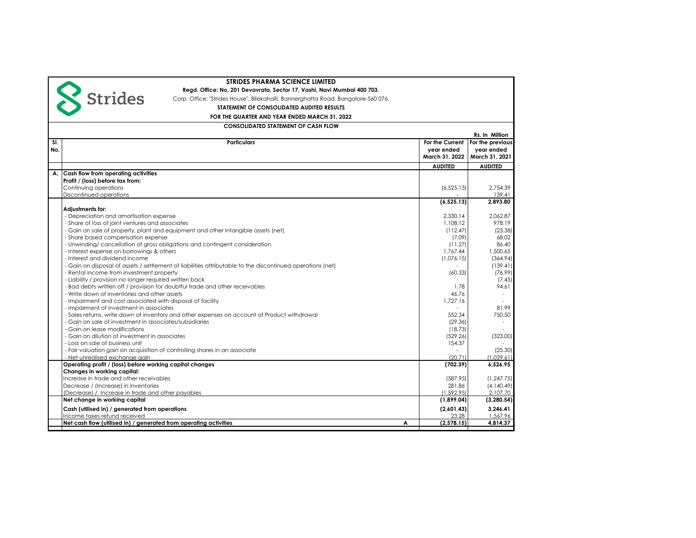

**Regd. Office: No. 201 Devavrata, Sector 17, Vashi, Navi Mumbai 400 703.**

Corp. Office: "Strides House", Bilekahalli, Bannerghatta Road, Bangalore-560 076.

**STATEMENT OF CONSOLIDATED AUDITED RESULTS**

#### **FOR THE QUARTER AND YEAR ENDED MARCH 31, 2022 CONSOLIDATED STATEMENT OF CASH FLOW**

**Rs. In Million Sl. No. For the Current year ended March 31, 2022 For the previous year ended March 31, 2021 AUDITED AUDITED A. Cash flow from operating activities Profit / (loss) before tax from:** Continuing operations  $(6.525.13)$  2,754.39 2,754.39 Discontinued operations and the set of the set of the set of the set of the set of the set of the set of the set of the set of the set of the set of the set of the set of the set of the set of the set of the set of the set  **(6,525.13) 2,893.80 Adjustments for:** - Depreciation and amortisation expense 2,330.14 2,062.87 - Share of loss of joint ventures and associates 1,108.12 978.19 978.19 978.19 978.19 978.19 978.19 978.19 978.19 - Gain on sale of property, plant and equipment and other intangible assets (net) (112.47) (112.47) (112.47) (<br>-23.38) (112.47) (112.47) (23.38) (112.47) (23.38) (112.47) (23.38) (23.38) - Share based compensation expense - Unwinding/ cancellation of gross obligations and contingent consideration (11.27) 86.40 - Interest expense on borrowings & others 1,767.44  $\vert$  1,760.65 (1,076.15) [1,076.15] - Interest and dividend income<br>Facin on disposal of assets / settlement of liabilities attributable to the discontinued operations (net) - -- Gain on disposal of assets / settlement of liabilities attributable to the discontinued operations (net) - Rental income from investment property and the community of the community of the community of the community of the community of the community of the community of the community of the community of the community of the com - Liability / provision no longer required written back - (7.45) - (7.45) - (7.45) - (7.45) - (7.45) - (7.45) - (7.45) - (7.45) - (7.45) - (7.45) - (7.45) - (7.45) - (7.45) - (7.45) - (7.45) - (7.45) - (7.45) - (7.45) - (7 - Bad debts written off / provision for doubtful trade and other receivables 1.78 and 0.178 94.61 - Write down of inventories and other assets 46.76  $\pm$  46.76  $\pm$  46.76  $\pm$  46.76  $\pm$  46.76  $\pm$  46.76  $\pm$  46.76  $\pm$  46.76  $\pm$  46.76  $\pm$  46.76  $\pm$  46.76  $\pm$  46.76  $\pm$  46.76  $\pm$  46.76  $\pm$  46.76  $\pm$  46.76  $\pm$  4 - Impairment and cost associated with disposal of facility 1,727.16  $\,$  1,727.16  $\,$  1,727.16  $\,$  1,727.16  $\,$ - Impairment of investment in associates - 81.99<br>- 81.99 Sales returns, write down of inventory and other expenses on account of Product withdrawal - Sales returns, write down of inventory and other expenses on account of Product withdrawal - Gain on sale of investment in associates/subsidiaries (29.36) - - Gain on lease modifications (18.73) - - Gain on dilution of investment in associates (529.26) (323.00) - Loss on sale of business unit 154.37  $\sim$  154.37  $\sim$  154.37  $\sim$  154.37  $\sim$  154.37  $\sim$  154.37  $\sim$  154.37  $\sim$  1554.37  $\sim$  1554.37  $\sim$  1554.37  $\sim$  1554.37  $\sim$  1554.37  $\sim$  1554.37  $\sim$  1554.37  $\sim$  1554.37  $\sim$  15 - Fair valuation gain on acquisition of controlling shares in an associate - (25.30) [25.30] [25.30] [25.30] [25.30] [25.30] [25.30] [25.30] [25.30] [25.30] [25.30] [25.30] [25.30] [1,029.61] [1,029.61] [1,029.61] [1,029.6 - 1,029.61) Net unrealised exchange gain (1,029.61) (1,029.61) (1,029.61) (1,029.61) (1,029.61) (1,029.61) (1,029.61)<br>Derating profit / (loss) before working capital changes **Operating profit / (loss) before working capital changes Changes in working capital:** Increase in trade and other receivables (587.95) (1,247.75) Decrease / (Increase) in inventories (4,140.49) and the provides and content of the content of the content of the content of the content of the content of the content of the content of the content of the content of the con (Decrease) / Increase in trade and other payables **Net change in working capital (1,899.04) (3,280.54) Cash (utilised in) / generated from operations (2,601.43)** 3,246.41<br>
Income taxes refund received (2,567.96) 23.28 (2,567.96) 23.28 (2,567.96) Income taxes refund received and received the series of the series of the cash flow (utilised in) / generated from operating activities and the cash flow (utilised in) / generated from operating activities and the cash flo **Net cash flow (utilised in) / generated from operating activities <b>A** (2,578.15) 4,815 **Particulars**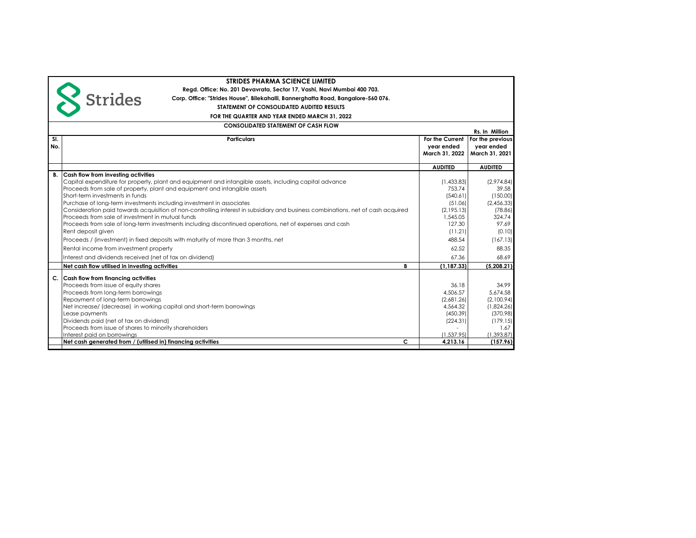

**Corp. Office: "Strides House", Bilekahalli, Bannerghatta Road, Bangalore-560 076.**

**STATEMENT OF CONSOLIDATED AUDITED RESULTS**

S Strides

## **FOR THE QUARTER AND YEAR ENDED MARCH 31, 2022**

## **CONSOLIDATED STATEMENT OF CASH FLOW**

|     | Rs. In Million                                                                                                                   |                        |                       |  |  |  |
|-----|----------------------------------------------------------------------------------------------------------------------------------|------------------------|-----------------------|--|--|--|
| SI. | <b>Particulars</b>                                                                                                               | For the Current        | For the previous      |  |  |  |
| No. |                                                                                                                                  | year ended             | year ended            |  |  |  |
|     |                                                                                                                                  | March 31, 2022         | March 31, 2021        |  |  |  |
|     |                                                                                                                                  |                        |                       |  |  |  |
|     |                                                                                                                                  | <b>AUDITED</b>         | <b>AUDITED</b>        |  |  |  |
| В.  | <b>Cash flow from investing activities</b>                                                                                       |                        |                       |  |  |  |
|     | Capital expenditure for property, plant and equipment and intangible assets, including capital advance                           | (1,433.83)             | (2,974.84)            |  |  |  |
|     | Proceeds from sale of property, plant and eaujoment and intanaible assets                                                        | 753.74                 | 39.58                 |  |  |  |
|     | Short-term investments in funds                                                                                                  | (540.61)               | (150.00)              |  |  |  |
|     | Purchase of long-term investments including investment in associates                                                             | (51.06)                | (2.456.33)            |  |  |  |
|     | Consideration paid towards acquisition of non-controlling interest in subsidiary and business combinations, net of cash acquired | (2,195.13)             | (78.86)               |  |  |  |
|     | Proceeds from sale of investment in mutual funds                                                                                 | 1.545.05               | 324.74                |  |  |  |
|     | Proceeds from sale of long-term investments including discontinued operations, net of expenses and cash                          | 127.30                 | 97.69                 |  |  |  |
|     | Rent deposit given                                                                                                               | (11.21)                | (0.10)                |  |  |  |
|     | Proceeds / (investment) in fixed deposits with maturity of more than 3 months, net                                               | 488.54                 | (167.13)              |  |  |  |
|     | Rental income from investment property                                                                                           | 62.52                  | 88.35                 |  |  |  |
|     | Interest and dividends received (net of tax on dividend)                                                                         | 67.36                  | 68.69                 |  |  |  |
|     | Net cash flow utilised in investing activities<br>B                                                                              | (1.187.33)             | (5,208.21)            |  |  |  |
|     |                                                                                                                                  |                        |                       |  |  |  |
|     | C. Cash flow from financina activities                                                                                           |                        |                       |  |  |  |
|     | Proceeds from issue of equity shares                                                                                             | 36.18                  | 34.99                 |  |  |  |
|     | Proceeds from long-term borrowings                                                                                               | 4,506.57               | 5,674.58              |  |  |  |
|     | Repayment of long-term borrowings                                                                                                | (2.681.26)             | (2,100.94)            |  |  |  |
|     | Net increase/ (decrease) in working capital and short-term borrowings                                                            | 4,564.32               | (1,824.26)            |  |  |  |
|     | Lease payments                                                                                                                   | (450.39)               | (370.98)              |  |  |  |
|     | Dividends paid (net of tax on dividend)                                                                                          | (224.31)               | (179.15)              |  |  |  |
|     | Proceeds from issue of shares to minority shareholders                                                                           |                        | 1.67                  |  |  |  |
|     | Interest paid on borrowings<br>C<br>Net cash generated from / (utilised in) financing activities                                 | (1,537.95)<br>4.213.16 | 1,393.87)<br>(157.96) |  |  |  |
|     |                                                                                                                                  |                        |                       |  |  |  |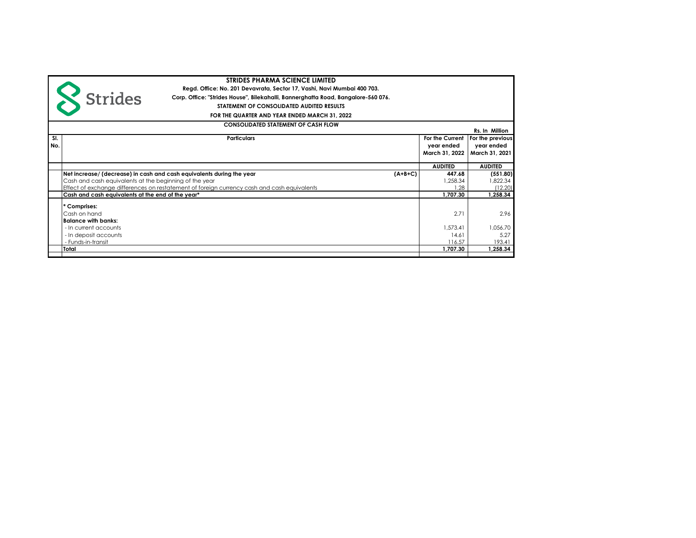

**Regd. Office: No. 201 Devavrata, Sector 17, Vashi, Navi Mumbai 400 703. Corp. Office: "Strides House", Bilekahalli, Bannerghatta Road, Bangalore-560 076.**

**STATEMENT OF CONSOLIDATED AUDITED RESULTS**

## **FOR THE QUARTER AND YEAR ENDED MARCH 31, 2022**

|  | <b>CONSOLIDATED STATEMENT OF CASH FLOW</b> |
|--|--------------------------------------------|

|     |                                                                                             |                 | Rs. In Million   |
|-----|---------------------------------------------------------------------------------------------|-----------------|------------------|
| SI. | <b>Particulars</b>                                                                          | For the Current | For the previous |
| No. |                                                                                             | year ended      | year ended       |
|     |                                                                                             | March 31, 2022  | March 31, 2021   |
|     |                                                                                             |                 |                  |
|     |                                                                                             | <b>AUDITED</b>  | <b>AUDITED</b>   |
|     | Net increase/ (decrease) in cash and cash equivalents during the year<br>$(A+B+C)$          | 447.68          | (551.80)         |
|     | Cash and cash equivalents at the beginning of the year                                      | 1.258.34        | .822.34          |
|     | Effect of exchange differences on restatement of foreign currency cash and cash equivalents | .28             | (12.20)          |
|     | Cash and cash eauivalents at the end of the vear*                                           | 1.707.30        | 1.258.34         |
|     | * Comprises:                                                                                |                 |                  |
|     | Cash on hand                                                                                | 2.71            | 2.96             |
|     |                                                                                             |                 |                  |
|     | Balance with banks:                                                                         |                 |                  |
|     | - In current accounts                                                                       | 1,573.41        | 1.056.70         |
|     | - In deposit accounts                                                                       | 14.61           | 5.27             |
|     | - Funds-in-transit                                                                          | 116.57          | 193.41           |
|     | Total                                                                                       | 1.707.30        | 1.258.34         |
|     |                                                                                             |                 |                  |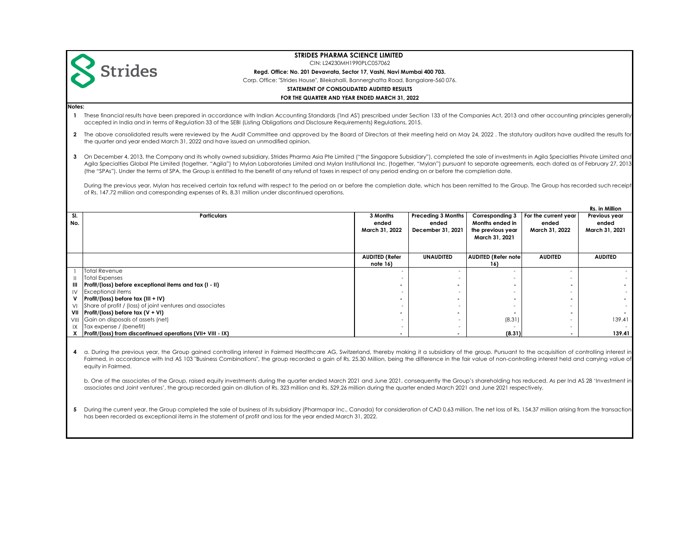|                | <b>STRIDES PHARMA SCIENCE LIMITED</b>                                                                                                                                                                                                                                                                                                                                                                                                                                                                                                                                                                                                                                                                                                                                                                                                             |                                     |                                                         |                                                                           |                                                 |                                          |  |
|----------------|---------------------------------------------------------------------------------------------------------------------------------------------------------------------------------------------------------------------------------------------------------------------------------------------------------------------------------------------------------------------------------------------------------------------------------------------------------------------------------------------------------------------------------------------------------------------------------------------------------------------------------------------------------------------------------------------------------------------------------------------------------------------------------------------------------------------------------------------------|-------------------------------------|---------------------------------------------------------|---------------------------------------------------------------------------|-------------------------------------------------|------------------------------------------|--|
|                | CIN: L24230MH1990PLC057062<br><b>Strides</b>                                                                                                                                                                                                                                                                                                                                                                                                                                                                                                                                                                                                                                                                                                                                                                                                      |                                     |                                                         |                                                                           |                                                 |                                          |  |
|                | Regd. Office: No. 201 Devavrata, Sector 17, Vashi, Navi Mumbai 400 703.<br>Corp. Office: "Strides House", Bilekahalli, Bannerghatta Road, Bangalore-560 076.                                                                                                                                                                                                                                                                                                                                                                                                                                                                                                                                                                                                                                                                                      |                                     |                                                         |                                                                           |                                                 |                                          |  |
|                | STATEMENT OF CONSOLIDATED AUDITED RESULTS                                                                                                                                                                                                                                                                                                                                                                                                                                                                                                                                                                                                                                                                                                                                                                                                         |                                     |                                                         |                                                                           |                                                 |                                          |  |
|                | FOR THE QUARTER AND YEAR ENDED MARCH 31, 2022                                                                                                                                                                                                                                                                                                                                                                                                                                                                                                                                                                                                                                                                                                                                                                                                     |                                     |                                                         |                                                                           |                                                 |                                          |  |
| Notes:         |                                                                                                                                                                                                                                                                                                                                                                                                                                                                                                                                                                                                                                                                                                                                                                                                                                                   |                                     |                                                         |                                                                           |                                                 |                                          |  |
| $\mathbf{1}$   | These financial results have been prepared in accordance with Indian Accounting Standards ('Ind AS') prescribed under Section 133 of the Companies Act, 2013 and other accounting principles generally<br>accepted in India and in terms of Regulation 33 of the SEBI (Listing Obligations and Disclosure Requirements) Regulations, 2015.                                                                                                                                                                                                                                                                                                                                                                                                                                                                                                        |                                     |                                                         |                                                                           |                                                 |                                          |  |
| $\mathbf{2}$   | The above consolidated results were reviewed by the Audit Committee and approved by the Board of Directors at their meeting held on May 24, 2022. The statutory auditors have audited the results for<br>the quarter and year ended March 31, 2022 and have issued an unmodified opinion.                                                                                                                                                                                                                                                                                                                                                                                                                                                                                                                                                         |                                     |                                                         |                                                                           |                                                 |                                          |  |
| 3              | On December 4, 2013, the Company and its wholly owned subsidiary, Strides Pharma Asia Pte Limited ("the Singapore Subsidiary"), completed the sale of investments in Agila Specialties Private Limited and<br>Agila Specialties Global Pte Limited (together, "Agila") to Mylan Laboratories Limited and Mylan Institutional Inc. (together, "Mylan") pursuant to separate agreements, each dated as of February 27, 2013<br>(the "SPAs"). Under the terms of SPA, the Group is entitled to the benefit of any refund of taxes in respect of any period ending on or before the completion date.                                                                                                                                                                                                                                                  |                                     |                                                         |                                                                           |                                                 |                                          |  |
|                | During the previous year, Mylan has received certain tax refund with respect to the period on or before the completion date, which has been remitted to the Group. The Group has recorded such receipt<br>of Rs. 147.72 million and corresponding expenses of Rs. 8.31 million under discontinued operations.                                                                                                                                                                                                                                                                                                                                                                                                                                                                                                                                     |                                     |                                                         |                                                                           |                                                 |                                          |  |
|                |                                                                                                                                                                                                                                                                                                                                                                                                                                                                                                                                                                                                                                                                                                                                                                                                                                                   |                                     |                                                         |                                                                           |                                                 | Rs. in Million                           |  |
| SI.<br>No.     | <b>Particulars</b>                                                                                                                                                                                                                                                                                                                                                                                                                                                                                                                                                                                                                                                                                                                                                                                                                                | 3 Months<br>ended<br>March 31, 2022 | <b>Preceding 3 Months</b><br>ended<br>December 31, 2021 | Corresponding 3<br>Months ended in<br>the previous year<br>March 31, 2021 | For the current year<br>ended<br>March 31, 2022 | Previous year<br>ended<br>March 31, 2021 |  |
|                |                                                                                                                                                                                                                                                                                                                                                                                                                                                                                                                                                                                                                                                                                                                                                                                                                                                   | <b>AUDITED (Refer</b><br>note 16)   | <b>UNAUDITED</b>                                        | <b>AUDITED (Refer note</b><br>16)                                         | <b>AUDITED</b>                                  | <b>AUDITED</b>                           |  |
|                | <b>Total Revenue</b>                                                                                                                                                                                                                                                                                                                                                                                                                                                                                                                                                                                                                                                                                                                                                                                                                              |                                     |                                                         |                                                                           |                                                 |                                          |  |
| Ш              | <b>Total Expenses</b><br>Profit/(loss) before exceptional items and tax (I - II)                                                                                                                                                                                                                                                                                                                                                                                                                                                                                                                                                                                                                                                                                                                                                                  |                                     |                                                         |                                                                           |                                                 |                                          |  |
| IV             | <b>Exceptional items</b>                                                                                                                                                                                                                                                                                                                                                                                                                                                                                                                                                                                                                                                                                                                                                                                                                          |                                     |                                                         |                                                                           |                                                 |                                          |  |
| V              | Profit/(loss) before tax (III + IV)                                                                                                                                                                                                                                                                                                                                                                                                                                                                                                                                                                                                                                                                                                                                                                                                               |                                     |                                                         |                                                                           |                                                 |                                          |  |
| V <sub>1</sub> | Share of profit / (loss) of joint ventures and associates                                                                                                                                                                                                                                                                                                                                                                                                                                                                                                                                                                                                                                                                                                                                                                                         |                                     |                                                         |                                                                           |                                                 |                                          |  |
| VII            | Profit/(loss) before $\text{tax}(V + VI)$                                                                                                                                                                                                                                                                                                                                                                                                                                                                                                                                                                                                                                                                                                                                                                                                         |                                     |                                                         |                                                                           |                                                 |                                          |  |
| VIII<br>IX     | Gain on disposals of assets (net)<br>Tax expense / (benefit)                                                                                                                                                                                                                                                                                                                                                                                                                                                                                                                                                                                                                                                                                                                                                                                      |                                     |                                                         | (8.31)                                                                    |                                                 | 139.41                                   |  |
| х              | Profit/(loss) from discontinued operations (VII+ VIII - IX)                                                                                                                                                                                                                                                                                                                                                                                                                                                                                                                                                                                                                                                                                                                                                                                       |                                     |                                                         | (8.31)                                                                    |                                                 | 139.41                                   |  |
|                | 4 a. During the previous year, the Group gained controlling interest in Fairmed Healthcare AG, Switzerland, thereby making it a subsidiary of the group. Pursuant to the acquisition of controlling interest in<br>Fairmed, in accordance with Ind AS 103 "Business Combinations", the group recorded a gain of Rs. 25.30 Million, being the difference in the fair value of non-controlling interest held and carrying value of<br>equity in Fairmed.<br>b. One of the associates of the Group, raised equity investments during the quarter ended March 2021 and June 2021, consequently the Group's shareholding has reduced. As per Ind AS 28 'Investment in<br>associates and Joint ventures', the group recorded gain on dilution of Rs. 323 million and Rs. 529.26 million during the quarter ended March 2021 and June 2021 respectively. |                                     |                                                         |                                                                           |                                                 |                                          |  |

5 During the current year, the Group completed the sale of business of its subsidiary (Pharmapar Inc., Canada) for consideration of CAD 0.63 million. The net loss of Rs. 154.37 million arising from the transaction has been recorded as exceptional items in the statement of profit and loss for the year ended March 31, 2022.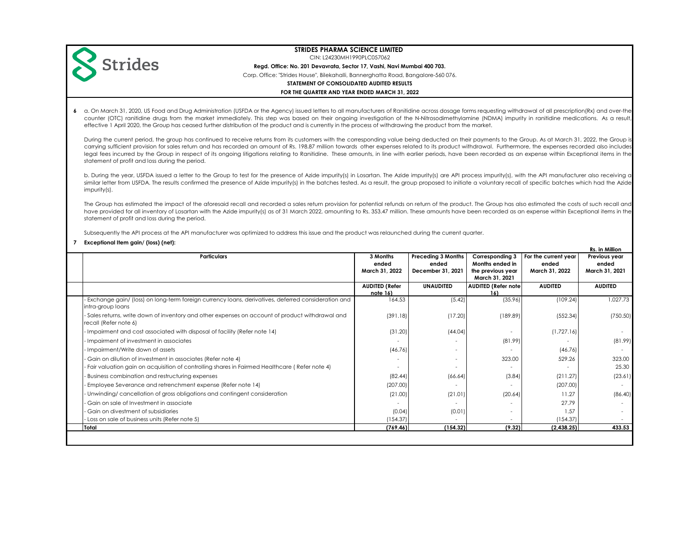

CIN: L24230MH1990PLC057062

#### **Regd. Office: No. 201 Devavrata, Sector 17, Vashi, Navi Mumbai 400 703.**

Corp. Office: "Strides House", Bilekahalli, Bannerghatta Road, Bangalore-560 076.

**STATEMENT OF CONSOLIDATED AUDITED RESULTS**

#### **FOR THE QUARTER AND YEAR ENDED MARCH 31, 2022**

**6** a. On March 31, 2020, US Food and Drug Administration (USFDA or the Agency) issued letters to all manufacturers of Ranitidine across dosage forms requesting withdrawal of all prescription(Rx) and over-thecounter (OTC) ranitidine drugs from the market immediately. This step was based on their ongoing investigation of the N-Nitrosodimethylamine (NDMA) impurity in ranitidine medications. As a result, effective 1 April 2020, the Group has ceased further distribution of the product and is currently in the process of withdrawing the product from the market.

During the current period, the group has continued to receive returns from its customers with the corresponding value being deducted on their payments to the Group. As at March 31, 2022, the Group is carrying sufficient provision for sales return and has recorded an amount of Rs. 198.87 million towards other expenses related to its product withdrawal. Furthermore, the expenses recorded also includes legal fees incurred by the Group in respect of its ongoing litigations relating to Ranitidine. These amounts, in line with earlier periods, have been recorded as an expense within Exceptional items in the statement of profit and loss during the period.

b. During the year, USFDA issued a letter to the Group to test for the presence of Azide impurity(s) in Losartan. The Azide impurity(s) are API process impurity(s), with the API manufacturer also receiving a similar letter from USFDA. The results confirmed the presence of Azide impurity(s) in the batches tested. As a result, the group proposed to initiate a voluntary recall of specific batches which had the Azide impurity(s).

The Group has estimated the impact of the aforesaid recall and recorded a sales return provision for potential refunds on return of the product. The Group has also estimated the costs of such recall and have provided for all inventory of Losartan with the Azide impurity(s) as of 31 March 2022, amounting to Rs. 353.47 million. These amounts have been recorded as an expense within Exceptional items in the statement of profit and loss during the period.

Subsequently the API process at the API manufacturer was optimized to address this issue and the product was relaunched during the current quarter.

#### **7 Exceptional Item gain/ (loss) (net):**

|                                                                                                                           |                                   |                           |                                    |                          | Rs. in Million |
|---------------------------------------------------------------------------------------------------------------------------|-----------------------------------|---------------------------|------------------------------------|--------------------------|----------------|
| <b>Particulars</b>                                                                                                        | 3 Months                          | <b>Preceding 3 Months</b> | Corresponding 3                    | For the current year     | Previous year  |
|                                                                                                                           | ended                             | ended                     | Months ended in                    | ended                    | ended          |
|                                                                                                                           | March 31, 2022                    | December 31, 2021         | the previous year                  | March 31, 2022           | March 31, 2021 |
|                                                                                                                           |                                   |                           | March 31, 2021                     |                          |                |
|                                                                                                                           | <b>AUDITED (Refer</b><br>note 16) | <b>UNAUDITED</b>          | <b>AUDITED (Refer note)</b><br>16) | <b>AUDITED</b>           | <b>AUDITED</b> |
| Exchange gain/ (loss) on long-term foreign currency loans, derivatives, deferred consideration and<br>intra-group loans   | 164.53                            | (5.42)                    | (35.96)                            | (109.24)                 | 1,027.73       |
| - Sales returns, write down of inventory and other expenses on account of product withdrawal and<br>recall (Refer note 6) | (391.18)                          | (17.20)                   | (189.89)                           | (552.34)                 | (750.50)       |
| - Impairment and cost associated with disposal of facility (Refer note 14)                                                | (31.20)                           | (44.04)                   |                                    | (1,727.16)               |                |
| - Impairment of investment in associates                                                                                  |                                   | $\overline{\phantom{a}}$  | (81.99)                            |                          | (81.99)        |
| - Impairment/Write down of assets                                                                                         | (46.76)                           |                           |                                    | (46.76)                  |                |
| - Gain on dilution of investment in associates (Refer note 4)                                                             |                                   | ٠                         | 323.00                             | 529.26                   | 323.00         |
| - Fair valuation gain on acquisition of controlling shares in Fairmed Healthcare (Refer note 4)                           | $\overline{\phantom{a}}$          | ۰                         | $\overline{\phantom{a}}$           | $\overline{\phantom{a}}$ | 25.30          |
| Business combination and restructuring expenses                                                                           | (82.44)                           | (66.64)                   | (3.84)                             | (211.27)                 | (23.61)        |
| Employee Severance and retrenchment expense (Refer note 14)                                                               | (207.00)                          |                           |                                    | (207.00)                 |                |
| - Unwinding/ cancellation of gross obligations and contingent consideration                                               | (21.00)                           | (21.01)                   | (20.64)                            | 11.27                    | (86.40)        |
| - Gain on sale of Investment in associate                                                                                 |                                   | $\overline{\phantom{a}}$  |                                    | 27.79                    |                |
| - Gain on divestment of subsidiaries                                                                                      | (0.04)                            | (0.01)                    | $\overline{\phantom{a}}$           | 1.57                     |                |
| - Loss on sale of business units (Refer note 5)                                                                           | (154.37)                          |                           |                                    | (154.37)                 |                |
| Total                                                                                                                     | (769.46)                          | (154.32)                  | (9.32)                             | (2,438.25)               | 433.53         |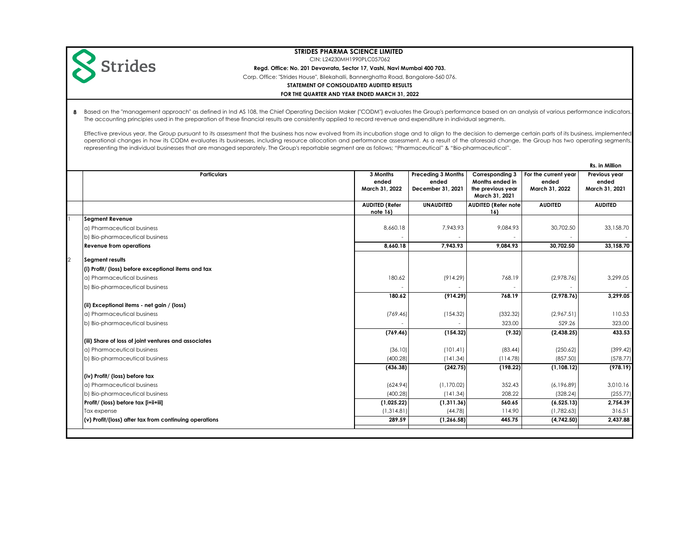

CIN: L24230MH1990PLC057062

**Regd. Office: No. 201 Devavrata, Sector 17, Vashi, Navi Mumbai 400 703.**

Corp. Office: "Strides House", Bilekahalli, Bannerghatta Road, Bangalore-560 076.

**STATEMENT OF CONSOLIDATED AUDITED RESULTS**

#### **FOR THE QUARTER AND YEAR ENDED MARCH 31, 2022**

**8** Based on the "management approach" as defined in Ind AS 108, the Chief Operating Decision Maker ("CODM") evaluates the Group's performance based on an analysis of various performance indicators. The accounting principles used in the preparation of these financial results are consistently applied to record revenue and expenditure in individual segments.

Effective previous year, the Group pursuant to its assessment that the business has now evolved from its incubation stage and to align to the decision to demerge certain parts of its business, implemented operational changes in how its CODM evaluates its businesses, including resource allocation and performance assessment. As a result of the aforesaid change, the Group has two operating segments, representing the individual businesses that are managed separately. The Group's reportable segment are as follows; "Pharmaceutical" & "Bio-pharmaceutical".

|                                                      |                                                                                          |                                                            |                                                                           |                                                  | Rs. in Million                                                     |
|------------------------------------------------------|------------------------------------------------------------------------------------------|------------------------------------------------------------|---------------------------------------------------------------------------|--------------------------------------------------|--------------------------------------------------------------------|
| Particulars                                          | 3 Months<br>ended<br>March 31, 2022                                                      | <b>Preceding 3 Months</b><br>ended<br>December 31, 2021    | Corresponding 3<br>Months ended in<br>the previous year<br>March 31, 2021 | For the current year<br>ended<br>March 31, 2022  | Previous year<br>ended<br>March 31, 2021                           |
|                                                      | <b>AUDITED (Refer</b><br>note 16)                                                        | <b>UNAUDITED</b>                                           | <b>AUDITED (Refer note</b><br>16)                                         | <b>AUDITED</b>                                   | <b>AUDITED</b>                                                     |
| <b>Segment Revenue</b>                               |                                                                                          |                                                            |                                                                           |                                                  |                                                                    |
| a) Pharmaceutical business                           | 8,660.18                                                                                 | 7,943.93                                                   | 9,084.93                                                                  | 30,702.50                                        | 33,158.70                                                          |
| b) Bio-pharmaceutical business                       |                                                                                          |                                                            |                                                                           |                                                  |                                                                    |
| <b>Revenue from operations</b>                       | 8.660.18                                                                                 | 7,943.93                                                   | 9.084.93                                                                  | 30.702.50                                        | 33.158.70                                                          |
| Segment results                                      |                                                                                          |                                                            |                                                                           |                                                  |                                                                    |
| (i) Profit/ (loss) before exceptional items and tax  |                                                                                          |                                                            |                                                                           |                                                  |                                                                    |
| a) Pharmaceutical business                           | 180.62                                                                                   | (914.29)                                                   | 768.19                                                                    | (2,978.76)                                       | 3,299.05                                                           |
| b) Bio-pharmaceutical business                       |                                                                                          |                                                            |                                                                           |                                                  |                                                                    |
|                                                      | 180.62                                                                                   | (914.29)                                                   | 768.19                                                                    | (2,978.76)                                       | 3,299.05                                                           |
| (ii) Exceptional items - net gain / (loss)           |                                                                                          |                                                            |                                                                           |                                                  |                                                                    |
| a) Pharmaceutical business                           | (769.46)                                                                                 | (154.32)                                                   | (332.32)                                                                  | (2,967.51)                                       | 110.53                                                             |
| b) Bio-pharmaceutical business                       |                                                                                          |                                                            | 323.00                                                                    | 529.26                                           | 323.00                                                             |
|                                                      | (769.46)                                                                                 | (154.32)                                                   | (9.32)                                                                    | (2,438.25)                                       | 433.53                                                             |
| (iii) Share of loss of joint ventures and associates |                                                                                          |                                                            |                                                                           |                                                  |                                                                    |
| a) Pharmaceutical business                           | (36.10)                                                                                  | (101.41)                                                   | (83.44)                                                                   | (250.62)                                         | (399.42)                                                           |
| b) Bio-pharmaceutical business                       | (400.28)                                                                                 | (141.34)                                                   | (114.78)                                                                  | (857.50)                                         | (578.77)                                                           |
|                                                      |                                                                                          |                                                            |                                                                           |                                                  | (978.19)                                                           |
| (iv) Profit/ (loss) before tax                       |                                                                                          |                                                            |                                                                           |                                                  |                                                                    |
| a) Pharmaceutical business                           | (624.94)                                                                                 | (1, 170.02)                                                | 352.43                                                                    | (6, 196.89)                                      | 3,010.16                                                           |
|                                                      |                                                                                          |                                                            |                                                                           |                                                  | (255.77)                                                           |
| Profit/ (loss) before tax [i+ii+iii]                 |                                                                                          |                                                            |                                                                           |                                                  | 2,754.39                                                           |
| Tax expense                                          |                                                                                          |                                                            |                                                                           |                                                  | 316.51                                                             |
|                                                      |                                                                                          |                                                            |                                                                           |                                                  | 2,437.88                                                           |
|                                                      | b) Bio-pharmaceutical business<br>(v) Profit/(loss) after tax from continuing operations | (436.38)<br>(400.28)<br>(1,025.22)<br>(1,314.81)<br>289.59 | (242.75)<br>(141.34)<br>(1, 311.36)<br>(44.78)<br>(1, 266.58)             | (198.22)<br>208.22<br>560.65<br>114.90<br>445.75 | (1, 108.12)<br>(328.24)<br>(6, 525.13)<br>(1,782.63)<br>(4,742.50) |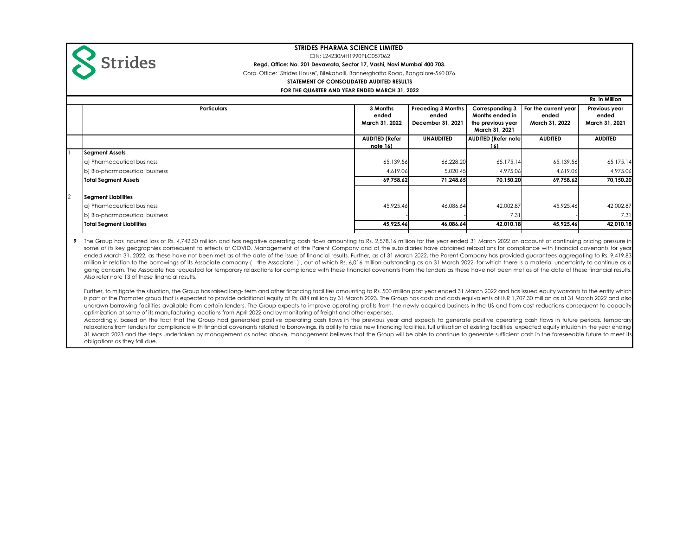

CIN: L24230MH1990PLC057062

#### **Regd. Office: No. 201 Devavrata, Sector 17, Vashi, Navi Mumbai 400 703.**

#### Corp. Office: "Strides House", Bilekahalli, Bannerghatta Road, Bangalore-560 076.

## **STATEMENT OF CONSOLIDATED AUDITED RESULTS**

**FOR THE QUARTER AND YEAR ENDED MARCH 31, 2022**

|                                |                       |                                    |                                    |                               | Rs. in Million         |
|--------------------------------|-----------------------|------------------------------------|------------------------------------|-------------------------------|------------------------|
| <b>Particulars</b>             | 3 Months<br>ended     | <b>Preceding 3 Months</b><br>ended | Corresponding 3<br>Months ended in | For the current year<br>ended | Previous year<br>ended |
|                                | March 31, 2022        | December 31, 2021                  | the previous year                  | March 31, 2022                | March 31, 2021         |
|                                |                       |                                    | March 31, 2021                     |                               |                        |
|                                | <b>AUDITED (Refer</b> | <b>UNAUDITED</b>                   | <b>AUDITED</b> (Refer note)        | <b>AUDITED</b>                | <b>AUDITED</b>         |
|                                | note $16$ )           |                                    | 16)                                |                               |                        |
| <b>Segment Assets</b>          |                       |                                    |                                    |                               |                        |
| a) Pharmaceutical business     | 65,139.56             | 66,228.20                          | 65,175.14                          | 65,139.56                     | 65,175.14              |
| b) Bio-pharmaceutical business | 4,619.06              | 5,020.45                           | 4,975.06                           | 4,619.06                      | 4,975.06               |
| <b>Total Segment Assets</b>    | 69,758.62             | 71,248.65                          | 70,150.20                          | 69,758.62                     | 70,150.20              |
|                                |                       |                                    |                                    |                               |                        |
| <b>Segment Liabilities</b>     |                       |                                    |                                    |                               |                        |
| a) Pharmaceutical business     | 45,925.46             | 46,086.64                          | 42,002.87                          | 45,925.46                     | 42,002.87              |
| b) Bio-pharmaceutical business |                       |                                    | 7.31                               |                               | 7.31                   |
| Total Segment Liabilities      | 45,925.46             | 46,086.64                          | 42,010.18                          | 45,925.46                     | 42.010.18              |
|                                |                       |                                    |                                    |                               |                        |

**9** The Group has incurred loss of Rs. 4,742.50 million and has negative operating cash flows amounting to Rs. 2,578.16 million for the year ended 31 March 2022 on account of continuing pricing pressure in some of its key geographies consequent to effects of COVID. Management of the Parent Company and of the subsidiaries have obtained relaxations for compliance with financial covenants for year ended March 31, 2022, as these have not been met as of the date of the issue of financial results. Further, as of 31 March 2022, the Parent Company has provided guarantees aggregating to Rs. 9,419.83 million in relation to the borrowings of its Associate company ("the Associate"), out of which Rs. 6,016 million outstanding as on 31 March 2022, for which there is a material uncertainty to continue as a going concern. The Associate has requested for temporary relaxations for compliance with these financial covenants from the lenders as these have not been met as of the date of these financial results. Also refer note 13 of these financial results.

Further, to mitigate the situation, the Group has raised long-term and other financing facilities amounting to Rs. 500 million post year ended 31 March 2022 and has issued equity warrants to the entity which is part of the Promoter group that is expected to provide additional equity of Rs. 884 million by 31 March 2023. The Group has cash and cash equivalents of INR 1,707.30 million as at 31 March 2022 and also undrawn borrowing facilities available from certain lenders. The Group expects to improve operating profits from the newly acquired business in the US and from cost reductions consequent to capacity optimization at some of its manufacturing locations from April 2022 and by monitoring of freight and other expenses.

Accordingly, based on the fact that the Group had generated positive operating cash flows in the previous year and expects to generate positive operating cash flows in future periods, temporary relaxations from lenders for compliance with financial covenants related to borrowings, its ability to raise new financing facilities, full utilisation of existing facilities, expected equity infusion in the year ending 31 March 2023 and the steps undertaken by management as noted above, management believes that the Group will be able to continue to generate sufficient cash in the foreseeable future to meet its obligations as they fall due.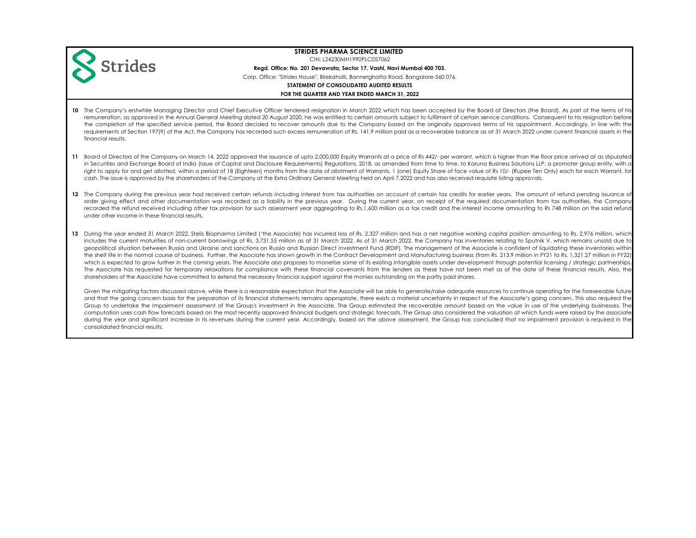

CIN: L24230MH1990PLC057062

**Regd. Office: No. 201 Devavrata, Sector 17, Vashi, Navi Mumbai 400 703.**

Corp. Office: "Strides House", Bilekahalli, Bannerghatta Road, Bangalore-560 076.

**STATEMENT OF CONSOLIDATED AUDITED RESULTS**

#### **FOR THE QUARTER AND YEAR ENDED MARCH 31, 2022**

- 10 The Company's erstwhile Managing Director and Chief Executive Officer tendered resignation in March 2022 which has been accepted by the Board of Directors (the Board). As part of the terms of his remuneration, as approved in the Annual General Meeting dated 20 August 2020, he was entitled to certain amounts subject to fulfilment of certain service conditions. Consequent to his resignation before the completion of the specified service period, the Board decided to recover amounts due to the Company based on the originally approved terms of his appointment. Accordingly, in line with the requirements of Section 197(9) of the Act, the Company has recorded such excess remuneration of Rs. 141.9 million paid as a recoverable balance as at 31 March 2022 under current financial assets in the financial results.
- 11 Board of Directors of the Company on March 14, 2022 approved the issuance of upto 2,000,000 Equity Warrants at a price of Rs 442/- per warrant, which is higher than the floor price arrived at as stipulated in Securities and Exchange Board of India (Issue of Capital and Disclosure Requirements) Regulations, 2018, as amended from time to time, to Karuna Business Solutions LLP, a promoter group entity, with a right to apply for and get allotted, within a period of 18 (Eighteen) months from the date of allotment of Warrants, 1 (one) Equity Share of face value of Rs 10/- (Rupee Ten Only) each for each Warrant, for cash. The issue is approved by the shareholders of the Company at the Extra Ordinary General Meeting held on April 7,2022 and has also received requisite listing approvals.
- 12 The Company during the previous year had received certain refunds including interest from tax authorities on account of certain tax credits for earlier years. The amount of refund pending issuance of order giving effect and other documentation was recorded as a liability in the previous year. During the current year, on receipt of the required documentation from tax authorities, the Company recorded the refund received including other tax provision for such assessment year aggregating to Rs.1,600 million as a tax credit and the interest income amounting to Rs 748 million on the said refund under other income in these financial results.
- 13 During the year ended 31 March 2022, Stelis Biopharma Limited ('the Associate) has incurred loss of Rs. 2,327 million and has a net negative working capital position amounting to Rs. 2,976 million, which includes the current maturities of non-current borrowings of Rs. 3,731.55 million as at 31 March 2022. As of 31 March 2022, the Company has inventories relating to Sputnik V, which remains unsold due to geopolitical situation between Russia and Ukraine and sanctions on Russian alrect Investment Fund (RDIF). The management of the Associate is confident of liquidating these inventories within the shelf life in the normal course of business. Further, the Associate has shown growth in the Contract Development and Manufacturing business (from Rs. 213.9 million in FY21 to Rs. 1,321.27 million in FY22) which is expected to grow further in the coming years. The Associate also proposes to monetise some of its existing intangible assets under development through potential licensing / strategic partnerships. The Associate has requested for temporary relaxations for compliance with these financial covenants from the lenders as these have not been met as of the date of these financial results. Also, the shareholders of the Associate have committed to extend the necessary financial support against the monies outstanding on the partly paid shares.

Given the mitigating factors discussed above, while there is a reasonable expectation that the Associate will be able to generate/raise adequate resources to continue operating for the foreseeable future and that the going concern basis for the preparation of its financial statements remains appropriate, there exists a material uncertainty in respect of the Associate's going concern. This also required the Group to undertake the Impairment assessment of the Group's investment in the Associate. The Group estimated the recoverable amount based on the value in use of the underlying businesses. The computation uses cash flow forecasts based on the most recently approved financial budgets and strategic forecasts. The Group also considered the valuation at which funds were raised by the associate during the year and significant increase in its revenues during the current year. Accordingly, based on the above assessment, the Group has concluded that no impairment provision is required in the consolidated financial results.